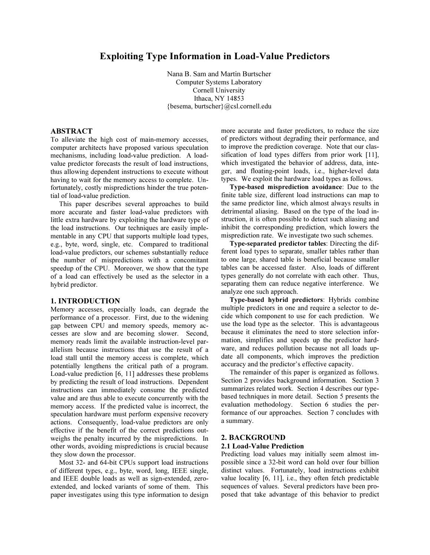# Exploiting Type Information in Load-Value Predictors

Nana B. Sam and Martin Burtscher Computer Systems Laboratory Cornell University Ithaca, NY 14853 {besema, burtscher}@csl.cornell.edu

# ABSTRACT

To alleviate the high cost of main-memory accesses, computer architects have proposed various speculation mechanisms, including load-value prediction. A loadvalue predictor forecasts the result of load instructions, thus allowing dependent instructions to execute without having to wait for the memory access to complete. Unfortunately, costly mispredictions hinder the true potential of load-value prediction.

This paper describes several approaches to build more accurate and faster load-value predictors with little extra hardware by exploiting the hardware type of the load instructions. Our techniques are easily implementable in any CPU that supports multiple load types, e.g., byte, word, single, etc. Compared to traditional load-value predictors, our schemes substantially reduce the number of mispredictions with a concomitant speedup of the CPU. Moreover, we show that the type of a load can effectively be used as the selector in a hybrid predictor.

## 1. INTRODUCTION

Memory accesses, especially loads, can degrade the performance of a processor. First, due to the widening gap between CPU and memory speeds, memory accesses are slow and are becoming slower. Second, memory reads limit the available instruction-level parallelism because instructions that use the result of a load stall until the memory access is complete, which potentially lengthens the critical path of a program. Load-value prediction [6, 11] addresses these problems by predicting the result of load instructions. Dependent instructions can immediately consume the predicted value and are thus able to execute concurrently with the memory access. If the predicted value is incorrect, the speculation hardware must perform expensive recovery actions. Consequently, load-value predictors are only effective if the benefit of the correct predictions outweighs the penalty incurred by the mispredictions. In other words, avoiding mispredictions is crucial because they slow down the processor.

Most 32- and 64-bit CPUs support load instructions of different types, e.g., byte, word, long, IEEE single, and IEEE double loads as well as sign-extended, zeroextended, and locked variants of some of them. This paper investigates using this type information to design more accurate and faster predictors, to reduce the size of predictors without degrading their performance, and to improve the prediction coverage. Note that our classification of load types differs from prior work [11], which investigated the behavior of address, data, integer, and floating-point loads, i.e., higher-level data types. We exploit the hardware load types as follows.

Type-based misprediction avoidance: Due to the finite table size, different load instructions can map to the same predictor line, which almost always results in detrimental aliasing. Based on the type of the load instruction, it is often possible to detect such aliasing and inhibit the corresponding prediction, which lowers the misprediction rate. We investigate two such schemes.

Type-separated predictor tables: Directing the different load types to separate, smaller tables rather than to one large, shared table is beneficial because smaller tables can be accessed faster. Also, loads of different types generally do not correlate with each other. Thus, separating them can reduce negative interference. We analyze one such approach.

Type-based hybrid predictors: Hybrids combine multiple predictors in one and require a selector to decide which component to use for each prediction. We use the load type as the selector. This is advantageous because it eliminates the need to store selection information, simplifies and speeds up the predictor hardware, and reduces pollution because not all loads update all components, which improves the prediction accuracy and the predictor's effective capacity.

The remainder of this paper is organized as follows. Section 2 provides background information. Section 3 summarizes related work. Section 4 describes our typebased techniques in more detail. Section 5 presents the evaluation methodology. Section 6 studies the performance of our approaches. Section 7 concludes with a summary.

## 2. BACKGROUND 2.1 Load-Value Prediction

# Predicting load values may initially seem almost impossible since a 32-bit word can hold over four billion distinct values. Fortunately, load instructions exhibit value locality [6, 11], i.e., they often fetch predictable sequences of values. Several predictors have been pro-

posed that take advantage of this behavior to predict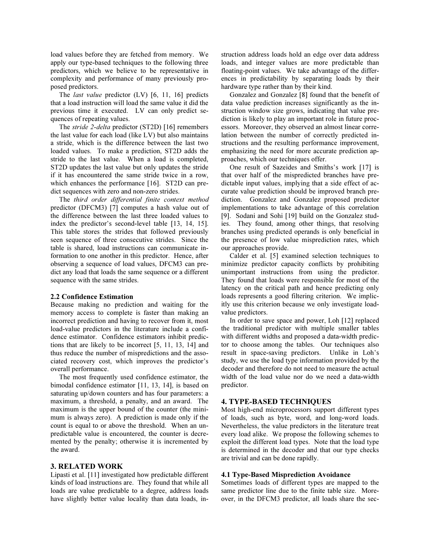load values before they are fetched from memory. We apply our type-based techniques to the following three predictors, which we believe to be representative in complexity and performance of many previously proposed predictors.

The *last value* predictor (LV) [6, 11, 16] predicts that a load instruction will load the same value it did the previous time it executed. LV can only predict sequences of repeating values.

The stride 2-delta predictor (ST2D) [16] remembers the last value for each load (like LV) but also maintains a stride, which is the difference between the last two loaded values. To make a prediction, ST2D adds the stride to the last value. When a load is completed, ST2D updates the last value but only updates the stride if it has encountered the same stride twice in a row, which enhances the performance [16]. ST2D can predict sequences with zero and non-zero strides.

The third order differential finite context method predictor (DFCM3) [7] computes a hash value out of the difference between the last three loaded values to index the predictor's second-level table [13, 14, 15]. This table stores the strides that followed previously seen sequence of three consecutive strides. Since the table is shared, load instructions can communicate information to one another in this predictor. Hence, after observing a sequence of load values, DFCM3 can predict any load that loads the same sequence or a different sequence with the same strides.

## 2.2 Confidence Estimation

Because making no prediction and waiting for the memory access to complete is faster than making an incorrect prediction and having to recover from it, most load-value predictors in the literature include a confidence estimator. Confidence estimators inhibit predictions that are likely to be incorrect [5, 11, 13, 14] and thus reduce the number of mispredictions and the associated recovery cost, which improves the predictor's overall performance.

The most frequently used confidence estimator, the bimodal confidence estimator [11, 13, 14], is based on saturating up/down counters and has four parameters: a maximum, a threshold, a penalty, and an award. The maximum is the upper bound of the counter (the minimum is always zero). A prediction is made only if the count is equal to or above the threshold. When an unpredictable value is encountered, the counter is decremented by the penalty; otherwise it is incremented by the award.

# 3. RELATED WORK

Lipasti et al. [11] investigated how predictable different kinds of load instructions are. They found that while all loads are value predictable to a degree, address loads have slightly better value locality than data loads, instruction address loads hold an edge over data address loads, and integer values are more predictable than floating-point values. We take advantage of the differences in predictability by separating loads by their hardware type rather than by their kind.

Gonzalez and Gonzalez [8] found that the benefit of data value prediction increases significantly as the instruction window size grows, indicating that value prediction is likely to play an important role in future processors. Moreover, they observed an almost linear correlation between the number of correctly predicted instructions and the resulting performance improvement, emphasizing the need for more accurate prediction approaches, which our techniques offer.

One result of Sazeides and Smiths's work [17] is that over half of the mispredicted branches have predictable input values, implying that a side effect of accurate value prediction should be improved branch prediction. Gonzalez and Gonzalez proposed predictor implementations to take advantage of this correlation [9]. Sodani and Sohi [19] build on the Gonzalez studies. They found, among other things, that resolving branches using predicted operands is only beneficial in the presence of low value misprediction rates, which our approaches provide.

Calder et al. [5] examined selection techniques to minimize predictor capacity conflicts by prohibiting unimportant instructions from using the predictor. They found that loads were responsible for most of the latency on the critical path and hence predicting only loads represents a good filtering criterion. We implicitly use this criterion because we only investigate loadvalue predictors.

In order to save space and power, Loh [12] replaced the traditional predictor with multiple smaller tables with different widths and proposed a data-width predictor to choose among the tables. Our techniques also result in space-saving predictors. Unlike in Loh's study, we use the load type information provided by the decoder and therefore do not need to measure the actual width of the load value nor do we need a data-width predictor.

# 4. TYPE-BASED TECHNIQUES

Most high-end microprocessors support different types of loads, such as byte, word, and long-word loads. Nevertheless, the value predictors in the literature treat every load alike. We propose the following schemes to exploit the different load types. Note that the load type is determined in the decoder and that our type checks are trivial and can be done rapidly.

#### 4.1 Type-Based Misprediction Avoidance

Sometimes loads of different types are mapped to the same predictor line due to the finite table size. Moreover, in the DFCM3 predictor, all loads share the sec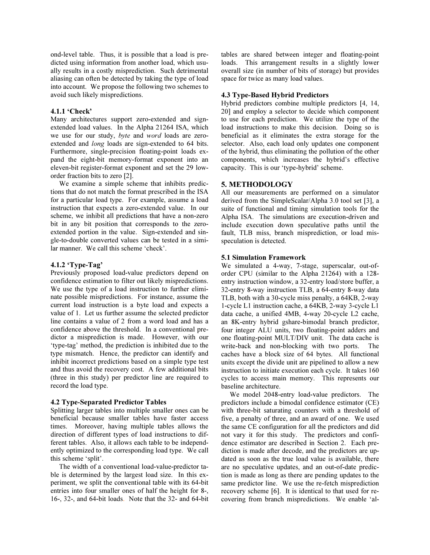ond-level table. Thus, it is possible that a load is predicted using information from another load, which usually results in a costly misprediction. Such detrimental aliasing can often be detected by taking the type of load into account. We propose the following two schemes to avoid such likely mispredictions.

## 4.1.1 'Check'

Many architectures support zero-extended and signextended load values. In the Alpha 21264 ISA, which we use for our study, byte and word loads are zeroextended and long loads are sign-extended to 64 bits. Furthermore, single-precision floating-point loads expand the eight-bit memory-format exponent into an eleven-bit register-format exponent and set the 29 loworder fraction bits to zero [2].

We examine a simple scheme that inhibits predictions that do not match the format prescribed in the ISA for a particular load type. For example, assume a load instruction that expects a zero-extended value. In our scheme, we inhibit all predictions that have a non-zero bit in any bit position that corresponds to the zeroextended portion in the value. Sign-extended and single-to-double converted values can be tested in a similar manner. We call this scheme 'check'.

## 4.1.2 'Type-Tag'

Previously proposed load-value predictors depend on confidence estimation to filter out likely mispredictions. We use the type of a load instruction to further eliminate possible mispredictions. For instance, assume the current load instruction is a byte load and expects a value of 1. Let us further assume the selected predictor line contains a value of 2 from a word load and has a confidence above the threshold. In a conventional predictor a misprediction is made. However, with our 'type-tag' method, the prediction is inhibited due to the type mismatch. Hence, the predictor can identify and inhibit incorrect predictions based on a simple type test and thus avoid the recovery cost. A few additional bits (three in this study) per predictor line are required to record the load type.

### 4.2 Type-Separated Predictor Tables

Splitting larger tables into multiple smaller ones can be beneficial because smaller tables have faster access times. Moreover, having multiple tables allows the direction of different types of load instructions to different tables. Also, it allows each table to be independently optimized to the corresponding load type. We call this scheme 'split'.

The width of a conventional load-value-predictor table is determined by the largest load size. In this experiment, we split the conventional table with its 64-bit entries into four smaller ones of half the height for 8-, 16-, 32-, and 64-bit loads. Note that the 32- and 64-bit tables are shared between integer and floating-point loads. This arrangement results in a slightly lower overall size (in number of bits of storage) but provides space for twice as many load values.

## 4.3 Type-Based Hybrid Predictors

Hybrid predictors combine multiple predictors [4, 14, 20] and employ a selector to decide which component to use for each prediction. We utilize the type of the load instructions to make this decision. Doing so is beneficial as it eliminates the extra storage for the selector. Also, each load only updates one component of the hybrid, thus eliminating the pollution of the other components, which increases the hybrid's effective capacity. This is our 'type-hybrid' scheme.

## 5. METHODOLOGY

All our measurements are performed on a simulator derived from the SimpleScalar/Alpha 3.0 tool set [3], a suite of functional and timing simulation tools for the Alpha ISA. The simulations are execution-driven and include execution down speculative paths until the fault, TLB miss, branch misprediction, or load misspeculation is detected.

# 5.1 Simulation Framework

We simulated a 4-way, 7-stage, superscalar, out-oforder CPU (similar to the Alpha 21264) with a 128 entry instruction window, a 32-entry load/store buffer, a 32-entry 8-way instruction TLB, a 64-entry 8-way data TLB, both with a 30-cycle miss penalty, a 64KB, 2-way 1-cycle L1 instruction cache, a 64KB, 2-way 3-cycle L1 data cache, a unified 4MB, 4-way 20-cycle L2 cache, an 8K-entry hybrid gshare-bimodal branch predictor, four integer ALU units, two floating-point adders and one floating-point MULT/DIV unit. The data cache is write-back and non-blocking with two ports. The caches have a block size of 64 bytes. All functional units except the divide unit are pipelined to allow a new instruction to initiate execution each cycle. It takes 160 cycles to access main memory. This represents our baseline architecture.

We model 2048-entry load-value predictors. The predictors include a bimodal confidence estimator (CE) with three-bit saturating counters with a threshold of five, a penalty of three, and an award of one. We used the same CE configuration for all the predictors and did not vary it for this study. The predictors and confidence estimator are described in Section 2. Each prediction is made after decode, and the predictors are updated as soon as the true load value is available, there are no speculative updates, and an out-of-date prediction is made as long as there are pending updates to the same predictor line. We use the re-fetch misprediction recovery scheme [6]. It is identical to that used for recovering from branch mispredictions. We enable 'al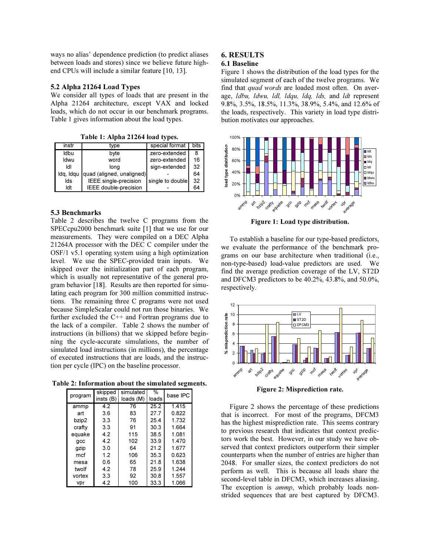ways no alias' dependence prediction (to predict aliases between loads and stores) since we believe future highend CPUs will include a similar feature [10, 13].

## 5.2 Alpha 21264 Load Types

We consider all types of loads that are present in the Alpha 21264 architecture, except VAX and locked loads, which do not occur in our benchmark programs. Table 1 gives information about the load types.

Table 1: Alpha 21264 load types.

| instr     | type                      | special format   | bits |
|-----------|---------------------------|------------------|------|
| ldbu      | byte                      | zero-extended    | 8    |
| Idwu      | word                      | zero-extended    | 16   |
| ldl       | long                      | sign-extended    | 32   |
| ldg, Idgu | quad (aligned, unaligned) |                  | 64   |
| lds       | IEEE single-precision     | single to double | 32   |
| ldt       | IEEE double-precision     |                  | 64   |

## 5.3 Benchmarks

Table 2 describes the twelve C programs from the SPECcpu2000 benchmark suite [1] that we use for our measurements. They were compiled on a DEC Alpha 21264A processor with the DEC C compiler under the OSF/1 v5.1 operating system using a high optimization level. We use the SPEC-provided train inputs. We skipped over the initialization part of each program, which is usually not representative of the general program behavior [18]. Results are then reported for simulating each program for 300 million committed instructions. The remaining three C programs were not used because SimpleScalar could not run those binaries. We further excluded the C++ and Fortran programs due to the lack of a compiler. Table 2 shows the number of instructions (in billions) that we skipped before beginning the cycle-accurate simulations, the number of simulated load instructions (in millions), the percentage of executed instructions that are loads, and the instruction per cycle (IPC) on the baseline processor.

Table 2: Information about the simulated segments.

| program | skipped<br>insts(B) | simulated<br>loads (M) | %<br>loads | base IPC |
|---------|---------------------|------------------------|------------|----------|
| ammp    | 4.2                 | 76                     | 25.2       | 1.415    |
| art     | 3.6                 | 83                     | 27.7       | 0.822    |
| bzip2   | 3.3                 | 76                     | 25.4       | 1.732    |
| crafty  | 3.3                 | 91                     | 30.3       | 1.664    |
| equake  | 4.2                 | 115                    | 38.5       | 1.081    |
| qcc     | 42                  | 102                    | 33.9       | 1470     |
| gzip    | 3.0                 | 64                     | 21.2       | 1.677    |
| mcf     | 12                  | 106                    | 35.3       | 0.623    |
| mesa    | 0.6                 | 65                     | 21.8       | 1.638    |
| twolf   | 4.2                 | 78                     | 25.9       | 1.244    |
| vortex  | 3.3                 | 92                     | 30.8       | 1.557    |
| vpr     | 4.2                 | 100                    | 33.3       | 1.066    |

# 6. RESULTS

# 6.1 Baseline

Figure 1 shows the distribution of the load types for the simulated segment of each of the twelve programs. We find that quad words are loaded most often. On average, *ldbu, ldwu, ldl, ldqu, ldq, lds, and ldt* represent 9.8%, 3.5%, 18.5%, 11.3%, 38.9%, 5.4%, and 12.6% of the loads, respectively. This variety in load type distribution motivates our approaches.



Figure 1: Load type distribution.

To establish a baseline for our type-based predictors, we evaluate the performance of the benchmark programs on our base architecture when traditional (i.e., non-type-based) load-value predictors are used. We find the average prediction coverage of the LV, ST2D and DFCM3 predictors to be 40.2%, 43.8%, and 50.0%, respectively.



Figure 2: Misprediction rate.

Figure 2 shows the percentage of these predictions that is incorrect. For most of the programs, DFCM3 has the highest misprediction rate. This seems contrary to previous research that indicates that context predictors work the best. However, in our study we have observed that context predictors outperform their simpler counterparts when the number of entries are higher than 2048. For smaller sizes, the context predictors do not perform as well. This is because all loads share the second-level table in DFCM3, which increases aliasing. The exception is *ammp*, which probably loads nonstrided sequences that are best captured by DFCM3.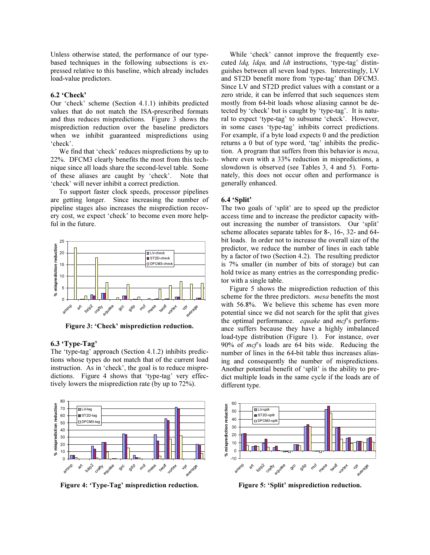Unless otherwise stated, the performance of our typebased techniques in the following subsections is expressed relative to this baseline, which already includes load-value predictors.

# 6.2 'Check'

Our 'check' scheme (Section 4.1.1) inhibits predicted values that do not match the ISA-prescribed formats and thus reduces mispredictions. Figure 3 shows the misprediction reduction over the baseline predictors when we inhibit guaranteed mispredictions using 'check'.

We find that 'check' reduces mispredictions by up to 22%. DFCM3 clearly benefits the most from this technique since all loads share the second-level table. Some of these aliases are caught by 'check'. Note that 'check' will never inhibit a correct prediction.

To support faster clock speeds, processor pipelines are getting longer. Since increasing the number of pipeline stages also increases the misprediction recovery cost, we expect 'check' to become even more helpful in the future.



Figure 3: 'Check' misprediction reduction.

# 6.3 'Type-Tag'

The 'type-tag' approach (Section 4.1.2) inhibits predictions whose types do not match that of the current load instruction. As in 'check', the goal is to reduce mispredictions. Figure 4 shows that 'type-tag' very effectively lowers the misprediction rate (by up to 72%).



Figure 4: 'Type-Tag' misprediction reduction.

While 'check' cannot improve the frequently executed *ldq, ldqu*, and *ldt* instructions, 'type-tag' distinguishes between all seven load types. Interestingly, LV and ST2D benefit more from 'type-tag' than DFCM3. Since LV and ST2D predict values with a constant or a zero stride, it can be inferred that such sequences stem mostly from 64-bit loads whose aliasing cannot be detected by 'check' but is caught by 'type-tag'. It is natural to expect 'type-tag' to subsume 'check'. However, in some cases 'type-tag' inhibits correct predictions. For example, if a byte load expects 0 and the prediction returns a 0 but of type word, 'tag' inhibits the prediction. A program that suffers from this behavior is mesa, where even with a 33% reduction in mispredictions, a slowdown is observed (see Tables 3, 4 and 5). Fortunately, this does not occur often and performance is generally enhanced.

## 6.4 'Split'

The two goals of 'split' are to speed up the predictor access time and to increase the predictor capacity without increasing the number of transistors. Our 'split' scheme allocates separate tables for 8-, 16-, 32- and 64 bit loads. In order not to increase the overall size of the predictor, we reduce the number of lines in each table by a factor of two (Section 4.2). The resulting predictor is 7% smaller (in number of bits of storage) but can hold twice as many entries as the corresponding predictor with a single table.

Figure 5 shows the misprediction reduction of this scheme for the three predictors. mesa benefits the most with 56.8%. We believe this scheme has even more potential since we did not search for the split that gives the optimal performance. *equake* and mcf's performance suffers because they have a highly imbalanced load-type distribution (Figure 1). For instance, over 90% of mcf's loads are 64 bits wide. Reducing the number of lines in the 64-bit table thus increases aliasing and consequently the number of mispredictions. Another potential benefit of 'split' is the ability to predict multiple loads in the same cycle if the loads are of different type.



Figure 5: 'Split' misprediction reduction.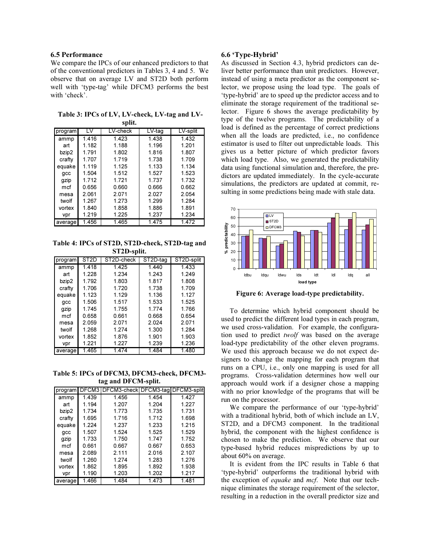# 6.5 Performance

We compare the IPCs of our enhanced predictors to that of the conventional predictors in Tables 3, 4 and 5. We observe that on average LV and ST2D both perform well with 'type-tag' while DFCM3 performs the best with 'check'.

 Table 3: IPCs of LV, LV-check, LV-tag and LVsplit.

| program | LV    | LV-check | LV-tag | LV-split |
|---------|-------|----------|--------|----------|
| ammp    | 1.416 | 1.423    | 1.438  | 1.432    |
| art     | 1.182 | 1.188    | 1.196  | 1.201    |
| bzip2   | 1.791 | 1.802    | 1.816  | 1.807    |
| crafty  | 1.707 | 1.719    | 1.738  | 1.709    |
| equake  | 1.119 | 1.125    | 1.133  | 1.134    |
| qcc     | 1.504 | 1.512    | 1.527  | 1.523    |
| gzip    | 1.712 | 1.721    | 1.737  | 1.732    |
| mcf     | 0.656 | 0.660    | 0.666  | 0.662    |
| mesa    | 2.061 | 2.071    | 2.027  | 2.054    |
| twolf   | 1.267 | 1.273    | 1.299  | 1.284    |
| vortex  | 1.840 | 1.858    | 1.886  | 1.891    |
| vpr     | 1.219 | 1.225    | 1.237  | 1.234    |
| average | 1.456 | 1.465    | 1.475  | 1.472    |
|         |       |          |        |          |

Table 4: IPCs of ST2D, ST2D-check, ST2D-tag and ST2D-split.

| program | ST2D  | ST2D-check | ST2D-tag | ST2D-split |
|---------|-------|------------|----------|------------|
| ammp    | 1.418 | 1.425      | 1.440    | 1.433      |
| art     | 1.228 | 1.234      | 1.243    | 1.249      |
| bzip2   | 1.792 | 1.803      | 1.817    | 1.808      |
| crafty  | 1.706 | 1.720      | 1.738    | 1.709      |
| equake  | 1.123 | 1.129      | 1.136    | 1.127      |
| qcc     | 1.506 | 1.517      | 1.533    | 1.525      |
| gzip    | 1.745 | 1.755      | 1.774    | 1.766      |
| mcf     | 0.658 | 0.661      | 0.668    | 0.654      |
| mesa    | 2.059 | 2.071      | 2.024    | 2.071      |
| twolf   | 1.268 | 1.274      | 1.300    | 1.284      |
| vortex  | 1.852 | 1.876      | 1.901    | 1.903      |
| vpr     | 1.221 | 1.227      | 1.239    | 1.236      |
| average | 1.465 | 1.474      | 1.484    | 1.480      |
|         |       |            |          |            |

Table 5: IPCs of DFCM3, DFCM3-check, DFCM3 tag and DFCM-split.

| program | DFCM3 | DFCM3-check   DFCM3-taq |         | DFCM3-split |
|---------|-------|-------------------------|---------|-------------|
| ammp    | 1.439 | 1.456                   | 1.454   | 1.427       |
|         |       |                         |         |             |
| art     | 1.194 | 1.207                   | 1.204   | 1.227       |
| bzip2   | 1.734 | 1.773                   | 1.735   | 1.731       |
| crafty  | 1.695 | 1716                    | 1 7 1 2 | 1.698       |
| equake  | 1.224 | 1.237                   | 1.233   | 1 2 1 5     |
| qcc     | 1.507 | 1.524                   | 1.525   | 1.529       |
| gzip    | 1.733 | 1.750                   | 1.747   | 1.752       |
| mcf     | 0.661 | 0.667                   | 0.667   | 0.653       |
| mesa    | 2.089 | 2.111                   | 2.016   | 2.107       |
| twolf   | 1.260 | 1.274                   | 1.283   | 1.276       |
| vortex  | 1.862 | 1.895                   | 1.892   | 1.938       |
| vpr     | 1.190 | 1.203                   | 1.202   | 1.217       |
| average | 1.466 | 1.484                   | 1.473   | 1.481       |

## 6.6 'Type-Hybrid'

As discussed in Section 4.3, hybrid predictors can deliver better performance than unit predictors. However, instead of using a meta predictor as the component selector, we propose using the load type. The goals of 'type-hybrid' are to speed up the predictor access and to eliminate the storage requirement of the traditional selector. Figure 6 shows the average predictability by type of the twelve programs. The predictability of a load is defined as the percentage of correct predictions when all the loads are predicted, i.e., no confidence estimator is used to filter out unpredictable loads. This gives us a better picture of which predictor favors which load type. Also, we generated the predictability data using functional simulation and, therefore, the predictors are updated immediately. In the cycle-accurate simulations, the predictors are updated at commit, resulting in some predictions being made with stale data.



Figure 6: Average load-type predictability.

To determine which hybrid component should be used to predict the different load types in each program, we used cross-validation. For example, the configuration used to predict twolf was based on the average load-type predictability of the other eleven programs. We used this approach because we do not expect designers to change the mapping for each program that runs on a CPU, i.e., only one mapping is used for all programs. Cross-validation determines how well our approach would work if a designer chose a mapping with no prior knowledge of the programs that will be run on the processor.

We compare the performance of our 'type-hybrid' with a traditional hybrid, both of which include an LV, ST2D, and a DFCM3 component. In the traditional hybrid, the component with the highest confidence is chosen to make the prediction. We observe that our type-based hybrid reduces mispredictions by up to about 60% on average.

It is evident from the IPC results in Table 6 that 'type-hybrid' outperforms the traditional hybrid with the exception of *equake* and mcf. Note that our technique eliminates the storage requirement of the selector, resulting in a reduction in the overall predictor size and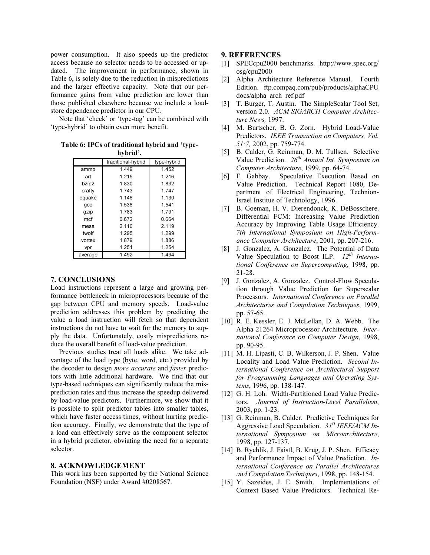power consumption. It also speeds up the predictor access because no selector needs to be accessed or updated. The improvement in performance, shown in Table 6, is solely due to the reduction in mispredictions and the larger effective capacity. Note that our performance gains from value prediction are lower than those published elsewhere because we include a loadstore dependence predictor in our CPU.

Note that 'check' or 'type-tag' can be combined with 'type-hybrid' to obtain even more benefit.

Table 6: IPCs of traditional hybrid and 'typehybrid'.

|         | traditional-hybrid | type-hybrid |
|---------|--------------------|-------------|
| ammp    | 1.449              | 1.452       |
| art     | 1 2 1 5            | 1.216       |
| bzip2   | 1.830              | 1.832       |
| crafty  | 1.743              | 1 747       |
| equake  | 1 1 4 6            | 1.130       |
| gcc     | 1.536              | 1.541       |
| gzip    | 1.783              | 1.791       |
| mcf     | 0.672              | 0.664       |
| mesa    | 2.110              | 2.119       |
| twolf   | 1.295              | 1.299       |
| vortex  | 1.879              | 1.886       |
| vpr     | 1.251              | 1.254       |
| average | 1.492              | 1.494       |

# 7. CONCLUSIONS

Load instructions represent a large and growing performance bottleneck in microprocessors because of the gap between CPU and memory speeds. Load-value prediction addresses this problem by predicting the value a load instruction will fetch so that dependent instructions do not have to wait for the memory to supply the data. Unfortunately, costly mispredictions reduce the overall benefit of load-value prediction.

Previous studies treat all loads alike. We take advantage of the load type (byte, word, etc.) provided by the decoder to design more accurate and faster predictors with little additional hardware. We find that our type-based techniques can significantly reduce the misprediction rates and thus increase the speedup delivered by load-value predictors. Furthermore, we show that it is possible to split predictor tables into smaller tables, which have faster access times, without hurting prediction accuracy. Finally, we demonstrate that the type of a load can effectively serve as the component selector in a hybrid predictor, obviating the need for a separate selector.

# 8. ACKNOWLEDGEMENT

This work has been supported by the National Science Foundation (NSF) under Award #0208567.

## 9. REFERENCES

- [1] SPECcpu2000 benchmarks. http://www.spec.org/ osg/cpu2000
- [2] Alpha Architecture Reference Manual. Fourth Edition. ftp.compaq.com/pub/products/alphaCPUdocs/alpha\_arch\_ref.pdf
- [3] T. Burger, T. Austin. The SimpleScalar Tool Set, version 2.0. ACM SIGARCH Computer Architecture News, 1997.
- [4] M. Burtscher, B. G. Zorn. Hybrid Load-Value Predictors. IEEE Transaction on Computers, Vol. 51:7, 2002, pp. 759-774.
- [5] B. Calder, G. Reinman, D. M. Tullsen. Selective Value Prediction.  $26^{th}$  Annual Int. Symposium on Computer Architecture, 1999, pp. 64-74.
- [6] F. Gabbay. Speculative Execution Based on Value Prediction. Technical Report 1080, Department of Electrical Engineering, Technion-Israel Institue of Technology, 1996.
- [7] B. Goeman, H. V. Dierendonck, K. DeBosschere. Differential FCM: Increasing Value Prediction Accuracy by Improving Table Usage Efficiency. 7th International Symposium on High-Performance Computer Architecture, 2001, pp. 207-216.
- [8] J. Gonzalez, A. Gonzalez. The Potential of Data Value Speculation to Boost ILP.  $12^{th}$  International Conference on Supercomputing, 1998, pp. 21-28.
- [9] J. Gonzalez, A. Gonzalez. Control-Flow Speculation through Value Prediction for Superscalar Processors. International Conference on Parallel Architectures and Compilation Techniques, 1999, pp. 57-65.
- [10] R. E. Kessler, E. J. McLellan, D. A. Webb. The Alpha 21264 Microprocessor Architecture. International Conference on Computer Design, 1998, pp. 90-95.
- [11] M. H. Lipasti, C. B. Wilkerson, J. P. Shen. Value Locality and Load Value Prediction. Second International Conference on Architectural Support for Programming Languages and Operating Systems, 1996, pp. 138-147.
- [12] G. H. Loh. Width-Partitioned Load Value Predictors. Journal of Instruction-Level Parallelism, 2003, pp. 1-23.
- [13] G. Reinman, B. Calder. Predictive Techniques for Aggressive Load Speculation.  $31^{st}$  IEEE/ACM International Symposium on Microarchitecture, 1998, pp. 127-137.
- [14] B. Rychlik, J. Faistl, B. Krug, J. P. Shen. Efficacy and Performance Impact of Value Prediction. International Conference on Parallel Architectures and Compilation Techniques, 1998, pp. 148-154.
- [15] Y. Sazeides, J. E. Smith. Implementations of Context Based Value Predictors. Technical Re-